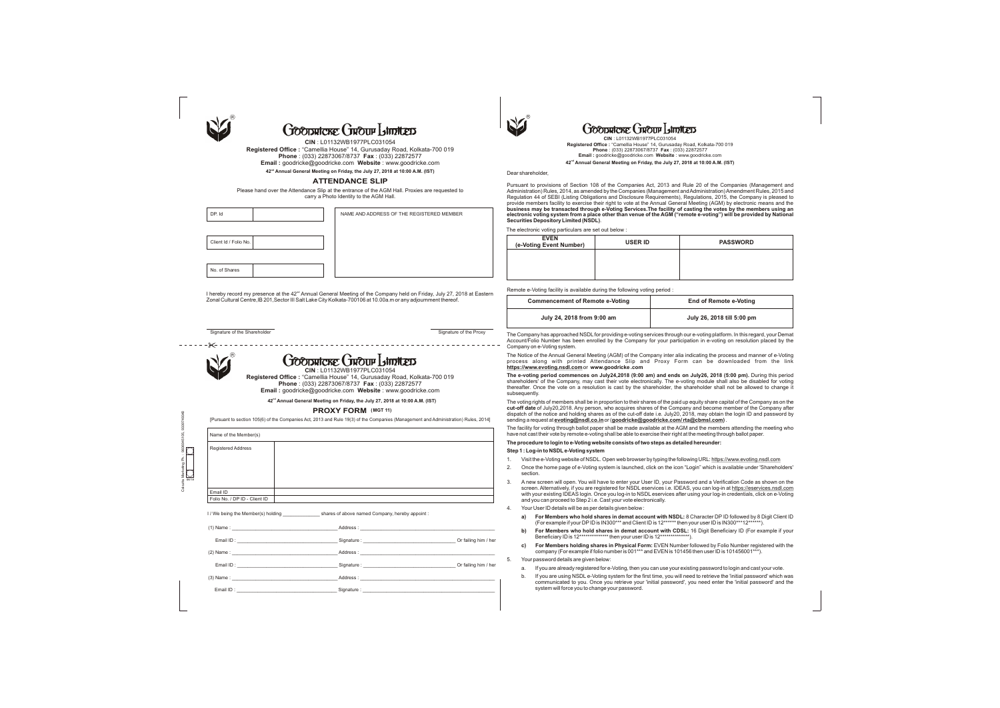| R |
|---|
|   |

# **GOODRICKE GROUP Limited**

**ATTENDANCE SLIP**

Please hand over the Attendance Slip at the entrance of the AGM Hall. Proxies are requested to carry a Photo Identity to the AGM Hall.

DP. Id

Client Id / Folio No.

No. of Shares

NAME AND ADDRESS OF THE REGISTERED MEMBER

I hereby record my presence at the  $42<sup>nd</sup>$  Annual General Meeting of the Company held on Friday, July 27, 2018 at Eastern Zonal Cultural Centre,IB 201,Sector III Salt Lake City Kolkata-700106 at 10.00a.m or any adjournment thereof.

Signature of the Shareholder Signature of the Proxy

| <b>Registered Address</b>     |                                                                                                                                                                                                                                |                                                                                                                                                                                                                                |
|-------------------------------|--------------------------------------------------------------------------------------------------------------------------------------------------------------------------------------------------------------------------------|--------------------------------------------------------------------------------------------------------------------------------------------------------------------------------------------------------------------------------|
|                               |                                                                                                                                                                                                                                |                                                                                                                                                                                                                                |
|                               |                                                                                                                                                                                                                                |                                                                                                                                                                                                                                |
|                               |                                                                                                                                                                                                                                |                                                                                                                                                                                                                                |
| Email ID                      |                                                                                                                                                                                                                                |                                                                                                                                                                                                                                |
| Folio No. / DP ID - Client ID |                                                                                                                                                                                                                                |                                                                                                                                                                                                                                |
|                               |                                                                                                                                                                                                                                |                                                                                                                                                                                                                                |
|                               |                                                                                                                                                                                                                                |                                                                                                                                                                                                                                |
|                               |                                                                                                                                                                                                                                |                                                                                                                                                                                                                                |
| $(2)$ Name:                   |                                                                                                                                                                                                                                | Address: North States and States and States and States and States and States and States and States and States and States and States and States and States and States and States and States and States and States and States an |
|                               | Email ID: Contract Development of Contract Development Contract Development Contract Development Contract Development Contract Development Contract Development Contract Development Contract Development Contract Development |                                                                                                                                                                                                                                |
|                               | $\blacksquare$ Address : $\blacksquare$ Address : $\blacksquare$                                                                                                                                                               |                                                                                                                                                                                                                                |



The Company has approached NSDLfor providing e-voting services through our e-voting platform. In this regard, your Demat Account/Folio Number has been enrolled by the Company for your participation in e-voting on resolution placed by the Company on e-Voting system.

The Notice of the Annual General Meeting (AGM) of the Company inter alia indicating the process and manner of e-Voting process along with printed Attendance Slip and Proxy Form can be downloaded from the link **https://www.evoting.nsdl.com** or **www.goodricke .com**

**The e-voting period commences on July24,2018 (9:00 am) and ends on July26, 2018 (5:00 pm).** During this period shareholders' of the Company, may cast their vote electronically. The e-voting module shall also be disabled for voting thereafter. Once the vote on a resolution is cast by the shareholder, the shareholder shall not be allowed to change it subsequently. The voting rights of members shall be in proportion to their shares of the paid up equity share capital of the Company as on the **cut-off date** of July20,2018. Any person, who acquires shares of the Company and become member of the Company after dispatch of the notice and holding shares as of the cut-off date i.e. July20, 2018, may obtain the login ID and password by

sending a request at **evoting@nsdl.co.in** or (**goodricke@goodricke.com/ rta@cbmsl.com)** . The facility for voting through ballot paper shall be made available at the AGM and the members attending the meeting who have not cast their vote by remote e-voting shall be able to exercise their right at the meeting through ballot paper. **The procedure to login to e-Voting website consists of two steps as detailed hereunder:**

### **Step 1 : Log-in to NSDLe-Voting system**

CISSITICATE CIROUP LIMITED **CIN** : L01132WB1977PLC031054

1. Visit the e-Voting website of NSDL. Open web browser by typing the following URL: https://www.evoting.nsdl.com

2. Once the home page of e-Voting system is launched, click on the icon "Login" which is available under 'Shareholders'

- 
- section.
- 
- 
- 
- 

3. A new screen will open. You will have to enter your User ID, your Password and a Verification Code as shown on the screen. Alternatively, if you are registered for NSDL eservices i.e. IDEAS, you can log-in at https://eservices.nsdl.com with your existing IDEAS login. Once you log-in to NSDL eservices after using your log-in credentials, click on e-Voting and you can proceed to Step 2 i.e. Cast your vote electronically.

4. Your User ID details will be as per details given below :

**a) For Members who hold shares in demat account with NSDL:** 8 Character DP ID followed by 8 Digit Client ID (For example if your DPID is IN300\*\*\* and Client ID is 12\*\*\*\*\*\* then your user ID is IN300\*\*\*12\*\*\*\*\*\*).

**b) For Members who hold shares in demat account with CDSL:** 16 Digit Beneficiary ID (For example if your Beneficiary ID is 12\*\*\*\*\*\*\*\*\*\*\*\*\*\* then your user ID is 12\*\*\*\*\*\*\*\*\*\*\*\*\*\*).

**c) For Members holding shares in Physical Form:** EVEN Number followed by Folio Number registered with the company (For example if folio number is 001\*\*\* and EVEN is 101456 then user ID is 101456001\*\*\*).

5. Your password details are given below:

a. If you are already registered for e-Voting, then you can use your existing password to login and cast your vote.

b. If you are using NSDL e-Voting system for the first time, you will need to retrieve the 'initial password' which was communicated to you. Once you retrieve your 'initial password', you need enter the 'initial password' and the system will force you to change your password.

## **Goodstroke GROUP Istrations**

Dear shareholder,

Pursuant to provisions of Section 108 of the Companies Act, 2013 and Rule 20 of the Companies (Management and Administration) Rules, 2014, as amended by the Companies (Management and Administration) Amendment Rules, 2015 and Regulation 44 of SEBI (Listing Obligations and Disclosure Requirements), Regulations, 2015, the Company is pleased to provide members facility to exercise their right to vote at the Annual General Meeting (AGM) by electronic means and the **business may be transacted through e-Voting Services.The facility of casting the votes by the members using an electronic voting system from a place other than venue of the AGM ("remote e-voting") will be provided by National Securities Depository Limited (NSDL)**. The electronic voting particulars are set out below :

(e-Voti

| <b>EVEN</b><br>ng Event Number) | <b>USER ID</b> | <b>PASSWORD</b> |
|---------------------------------|----------------|-----------------|
|                                 |                |                 |
|                                 |                |                 |

Remote e-Voting facility is available during the following voting period :

| <b>Commencement of Remote e-Voting</b> | <b>End of Remote e-Voting</b> |
|----------------------------------------|-------------------------------|
| July 24, 2018 from 9:00 am             | July 26, 2018 till 5:00 pm    |

Calcutta Marketing Ph. : 9836945105, 9339749340

 $\bigcirc$ <sub>06/18</sub>

**CIN** : L01132WB1977PLC031054 **Registered Office :** "Camellia House" 14, Gurusaday Road, Kolkata-700 019 **Phone** : (033) 22873067/8737 **Fax** : (033) 22872577 **Email :** goodricke@goodricke.com **Website** : www.goodricke.com

**nd 42 Annual General Meeting on Friday, the July 27, 2018 at 10:00 A.M. (IST)**

**Registered Office :** "Camellia House" 14, Gurusaday Road, Kolkata-700 019 **Phone** : (033) 22873067/8737 **Fax** : (033) 22872577 **Email :** goodricke@goodricke.com **Website** : www.goodricke.com

[Pursuant to section 105(6) of the Companies Act, 2013 and Rule 19(3) of the Companies (Management and Administration) Rules, 2014]

**nd 42 Annual General Meeting on Friday, the July 27, 2018 at 10:00 A.M. (IST)**

**PROXY FORM (MGT 11)**

**CIN** : L01132WB1977PLC031054

**Registered Office :** "Camellia House" 14, Gurusaday Road, Kolkata-700 019 **Phone** : (033) 22873067/8737 **Fax** : (033) 22872577

**Email :** goodricke@goodricke.com **Website** : www.goodricke.com

**nd 42 Annual General Meeting on Friday, the July 27, 2018 at 10:00 A.M. (IST)**